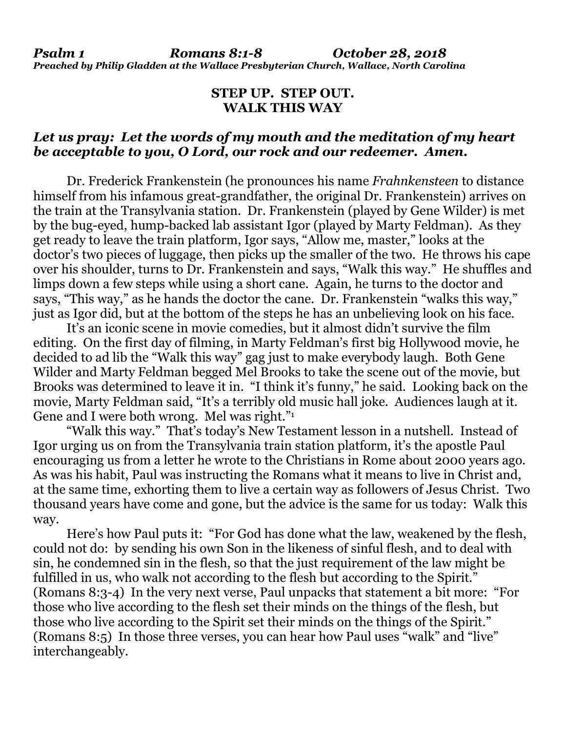## **STEP UP. STEP OUT. WALK THIS WAY**

## *Let us pray: Let the words of my mouth and the meditation of my heart be acceptable to you, O Lord, our rock and our redeemer. Amen.*

Dr. Frederick Frankenstein (he pronounces his name *Frahnkensteen* to distance himself from his infamous great-grandfather, the original Dr. Frankenstein) arrives on the train at the Transylvania station. Dr. Frankenstein (played by Gene Wilder) is met by the bug-eyed, hump-backed lab assistant Igor (played by Marty Feldman). As they get ready to leave the train platform, Igor says, "Allow me, master," looks at the doctor's two pieces of luggage, then picks up the smaller of the two. He throws his cape over his shoulder, turns to Dr. Frankenstein and says, "Walk this way." He shuffles and limps down a few steps while using a short cane. Again, he turns to the doctor and says, "This way," as he hands the doctor the cane. Dr. Frankenstein "walks this way," just as Igor did, but at the bottom of the steps he has an unbelieving look on his face.

It's an iconic scene in movie comedies, but it almost didn't survive the film editing. On the first day of filming, in Marty Feldman's first big Hollywood movie, he decided to ad lib the "Walk this way" gag just to make everybody laugh. Both Gene Wilder and Marty Feldman begged Mel Brooks to take the scene out of the movie, but Brooks was determined to leave it in. "I think it's funny," he said. Looking back on the movie, Marty Feldman said, "It's a terribly old music hall joke. Audiences laugh at it. Gene and I were both wrong. Mel was right."

"Walk this way." That's today's New Testament lesson in a nutshell. Instead of Igor urging us on from the Transylvania train station platform, it's the apostle Paul encouraging us from a letter he wrote to the Christians in Rome about 2000 years ago. As was his habit, Paul was instructing the Romans what it means to live in Christ and, at the same time, exhorting them to live a certain way as followers of Jesus Christ. Two thousand years have come and gone, but the advice is the same for us today: Walk this way.

Here's how Paul puts it: "For God has done what the law, weakened by the flesh, could not do: by sending his own Son in the likeness of sinful flesh, and to deal with sin, he condemned sin in the flesh, so that the just requirement of the law might be fulfilled in us, who walk not according to the flesh but according to the Spirit." (Romans 8:3-4) In the very next verse, Paul unpacks that statement a bit more: "For those who live according to the flesh set their minds on the things of the flesh, but those who live according to the Spirit set their minds on the things of the Spirit." (Romans 8:5) In those three verses, you can hear how Paul uses "walk" and "live" interchangeably.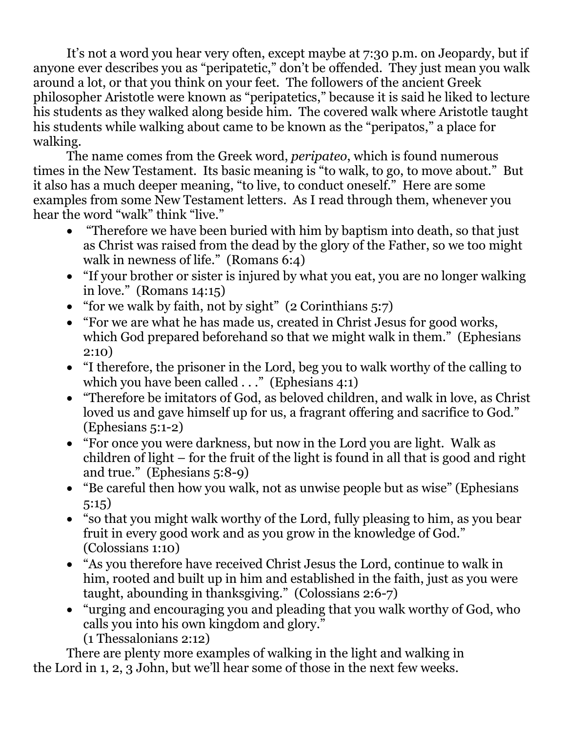It's not a word you hear very often, except maybe at 7:30 p.m. on Jeopardy, but if anyone ever describes you as "peripatetic," don't be offended. They just mean you walk around a lot, or that you think on your feet. The followers of the ancient Greek philosopher Aristotle were known as "peripatetics," because it is said he liked to lecture his students as they walked along beside him. The covered walk where Aristotle taught his students while walking about came to be known as the "peripatos," a place for walking.

The name comes from the Greek word, *peripateo*, which is found numerous times in the New Testament. Its basic meaning is "to walk, to go, to move about." But it also has a much deeper meaning, "to live, to conduct oneself." Here are some examples from some New Testament letters. As I read through them, whenever you hear the word "walk" think "live."

- "Therefore we have been buried with him by baptism into death, so that just as Christ was raised from the dead by the glory of the Father, so we too might walk in newness of life." (Romans 6:4)
- "If your brother or sister is injured by what you eat, you are no longer walking in love." (Romans 14:15)
- "for we walk by faith, not by sight" (2 Corinthians 5:7)
- "For we are what he has made us, created in Christ Jesus for good works, which God prepared beforehand so that we might walk in them." (Ephesians 2:10)
- "I therefore, the prisoner in the Lord, beg you to walk worthy of the calling to which you have been called . . ." (Ephesians 4:1)
- "Therefore be imitators of God, as beloved children, and walk in love, as Christ loved us and gave himself up for us, a fragrant offering and sacrifice to God." (Ephesians 5:1-2)
- "For once you were darkness, but now in the Lord you are light. Walk as children of light – for the fruit of the light is found in all that is good and right and true." (Ephesians 5:8-9)
- "Be careful then how you walk, not as unwise people but as wise" (Ephesians 5:15)
- "so that you might walk worthy of the Lord, fully pleasing to him, as you bear fruit in every good work and as you grow in the knowledge of God." (Colossians 1:10)
- "As you therefore have received Christ Jesus the Lord, continue to walk in him, rooted and built up in him and established in the faith, just as you were taught, abounding in thanksgiving." (Colossians 2:6-7)
- "urging and encouraging you and pleading that you walk worthy of God, who calls you into his own kingdom and glory." (1 Thessalonians 2:12)

There are plenty more examples of walking in the light and walking in the Lord in 1, 2, 3 John, but we'll hear some of those in the next few weeks.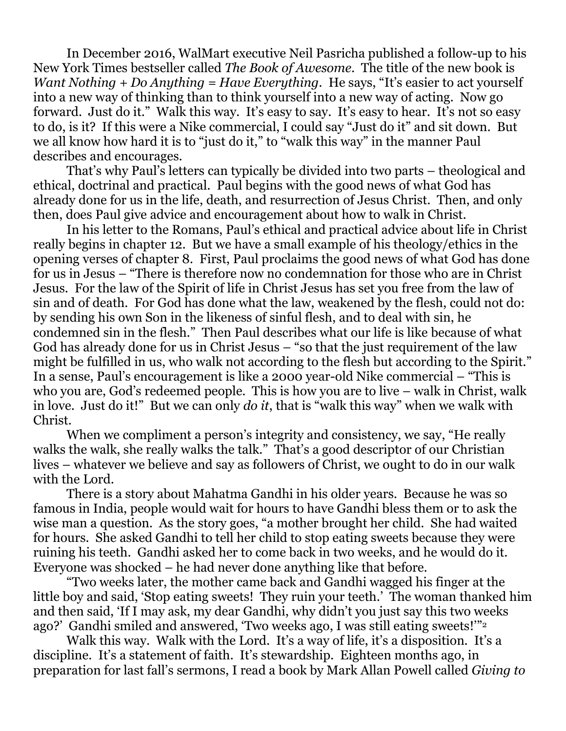In December 2016, WalMart executive Neil Pasricha published a follow-up to his New York Times bestseller called *The Book of Awesome*. The title of the new book is *Want Nothing + Do Anything = Have Everything*. He says, "It's easier to act yourself into a new way of thinking than to think yourself into a new way of acting. Now go forward. Just do it." Walk this way. It's easy to say. It's easy to hear. It's not so easy to do, is it? If this were a Nike commercial, I could say "Just do it" and sit down. But we all know how hard it is to "just do it," to "walk this way" in the manner Paul describes and encourages.

That's why Paul's letters can typically be divided into two parts – theological and ethical, doctrinal and practical. Paul begins with the good news of what God has already done for us in the life, death, and resurrection of Jesus Christ. Then, and only then, does Paul give advice and encouragement about how to walk in Christ.

In his letter to the Romans, Paul's ethical and practical advice about life in Christ really begins in chapter 12. But we have a small example of his theology/ethics in the opening verses of chapter 8. First, Paul proclaims the good news of what God has done for us in Jesus – "There is therefore now no condemnation for those who are in Christ Jesus. For the law of the Spirit of life in Christ Jesus has set you free from the law of sin and of death. For God has done what the law, weakened by the flesh, could not do: by sending his own Son in the likeness of sinful flesh, and to deal with sin, he condemned sin in the flesh." Then Paul describes what our life is like because of what God has already done for us in Christ Jesus – "so that the just requirement of the law might be fulfilled in us, who walk not according to the flesh but according to the Spirit." In a sense, Paul's encouragement is like a 2000 year-old Nike commercial – "This is who you are, God's redeemed people. This is how you are to live – walk in Christ, walk in love. Just do it!" But we can only *do it*, that is "walk this way" when we walk with Christ.

When we compliment a person's integrity and consistency, we say, "He really walks the walk, she really walks the talk." That's a good descriptor of our Christian lives – whatever we believe and say as followers of Christ, we ought to do in our walk with the Lord.

There is a story about Mahatma Gandhi in his older years. Because he was so famous in India, people would wait for hours to have Gandhi bless them or to ask the wise man a question. As the story goes, "a mother brought her child. She had waited for hours. She asked Gandhi to tell her child to stop eating sweets because they were ruining his teeth. Gandhi asked her to come back in two weeks, and he would do it. Everyone was shocked – he had never done anything like that before.

"Two weeks later, the mother came back and Gandhi wagged his finger at the little boy and said, 'Stop eating sweets! They ruin your teeth.' The woman thanked him and then said, 'If I may ask, my dear Gandhi, why didn't you just say this two weeks ago?' Gandhi smiled and answered, 'Two weeks ago, I was still eating sweets!'"<sup>2</sup>

Walk this way. Walk with the Lord. It's a way of life, it's a disposition. It's a discipline. It's a statement of faith. It's stewardship. Eighteen months ago, in preparation for last fall's sermons, I read a book by Mark Allan Powell called *Giving to*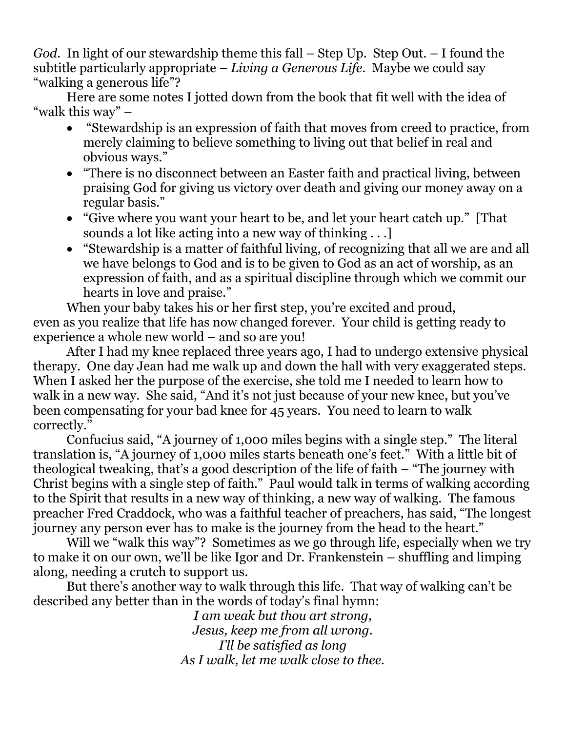*God*. In light of our stewardship theme this fall – Step Up. Step Out. – I found the subtitle particularly appropriate – *Living a Generous Life*. Maybe we could say "walking a generous life"?

Here are some notes I jotted down from the book that fit well with the idea of "walk this way" –

- "Stewardship is an expression of faith that moves from creed to practice, from merely claiming to believe something to living out that belief in real and obvious ways."
- "There is no disconnect between an Easter faith and practical living, between praising God for giving us victory over death and giving our money away on a regular basis."
- "Give where you want your heart to be, and let your heart catch up." [That sounds a lot like acting into a new way of thinking . . .]
- "Stewardship is a matter of faithful living, of recognizing that all we are and all we have belongs to God and is to be given to God as an act of worship, as an expression of faith, and as a spiritual discipline through which we commit our hearts in love and praise."

When your baby takes his or her first step, you're excited and proud, even as you realize that life has now changed forever. Your child is getting ready to experience a whole new world – and so are you!

After I had my knee replaced three years ago, I had to undergo extensive physical therapy. One day Jean had me walk up and down the hall with very exaggerated steps. When I asked her the purpose of the exercise, she told me I needed to learn how to walk in a new way. She said, "And it's not just because of your new knee, but you've been compensating for your bad knee for 45 years. You need to learn to walk correctly."

Confucius said, "A journey of 1,000 miles begins with a single step." The literal translation is, "A journey of 1,000 miles starts beneath one's feet." With a little bit of theological tweaking, that's a good description of the life of faith – "The journey with Christ begins with a single step of faith." Paul would talk in terms of walking according to the Spirit that results in a new way of thinking, a new way of walking. The famous preacher Fred Craddock, who was a faithful teacher of preachers, has said, "The longest journey any person ever has to make is the journey from the head to the heart."

Will we "walk this way"? Sometimes as we go through life, especially when we try to make it on our own, we'll be like Igor and Dr. Frankenstein – shuffling and limping along, needing a crutch to support us.

But there's another way to walk through this life. That way of walking can't be described any better than in the words of today's final hymn:

*I am weak but thou art strong, Jesus, keep me from all wrong. I'll be satisfied as long As I walk, let me walk close to thee.*